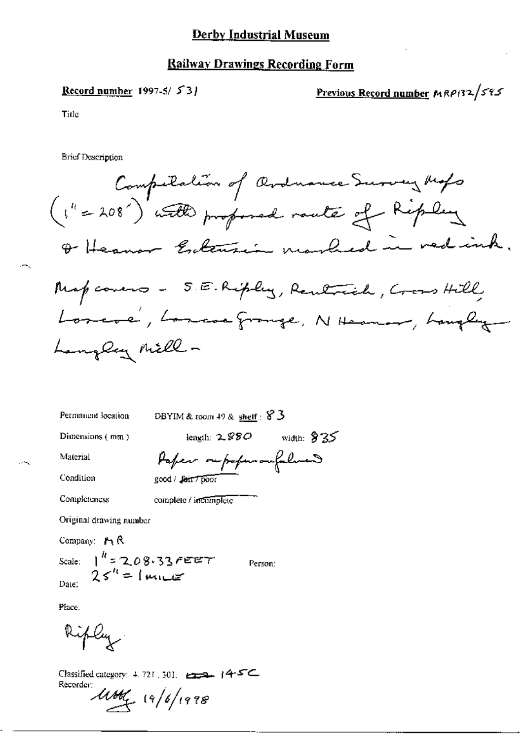# **Railway Drawings Recording Form**

## Record number 1997-5/ $53$

Previous Record number MRP132/595

Title

**Brief Description** 

Compilation of Ardnance Survey Myb  
\n(1" = 208") with proportional route of Ripley  
\n
$$
\theta
$$
 Heann - Enlemain model in red sinh,  
\nMap come - 5. E. Ripley, Rentrich, Crens Hill,  
\nLoneve', Loneooppruge, N them, hunflig  
\nhangleg Mille -

Permancial location

DBYIM & room 49 & shelf: 83

Dimensions (mm)

length:  $2.880$  width:  $835$ 

Material

Paper repoperangulation good / fair / poor

Condition Completeness

complete / incomplete

Original drawing number

Company: MR Scale:  $1^{h}$  = 2.08.33 FEET<br>25<sup>th</sup> = 1 miles Date:

Person:

Place.

ifly

Classified category: 4.721, 301. 222. 145C

Recorder:  $111/6/1978$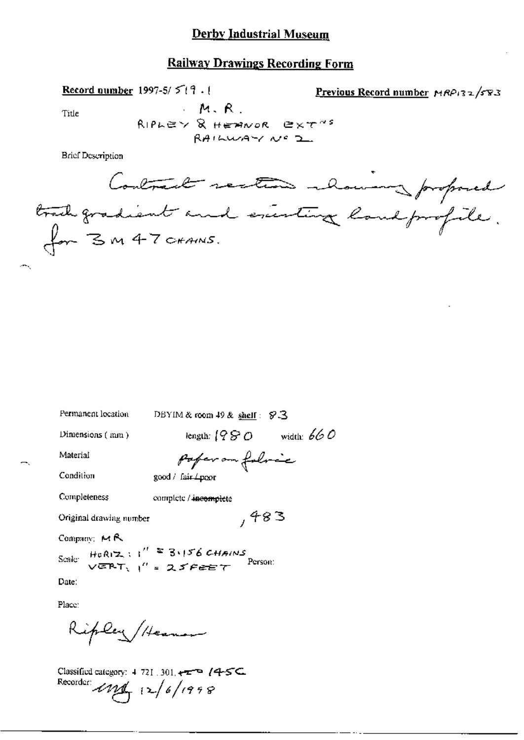#### **Railway Drawings Recording Form**

Record number 1997-5/ $5/$  19.1

Previous Record number MRP132/583

Title

 $M, R$ 

RIPLEY & HEANOR EXT" RAILWAY Nº 2

**Brief Description** 

Contract restar alower proposed trail gradient and exerting land profile.<br>for 3 m 47 craws.

Permanent location

DBYIM & room 49 & shelf: \$3

Dimensions (mm)

length:  $(980 \twidth. 660$ 

 $,483$ 

Material

Condition

pofer on folocc good / fair 4poor

Completeness

complete / incomplete

Original drawing number

Company: MR

Scale HeRIZ :  $1'' = 3.156$  CHAINS<br>
VERT,  $1'' = 25$ FEET Person:

Date:

Place:

Ripley/Heamon

Classified category: 4-721 .301, +=== /4-5C. Recorder:  $\ell M_{\rm T}$  12/6/1998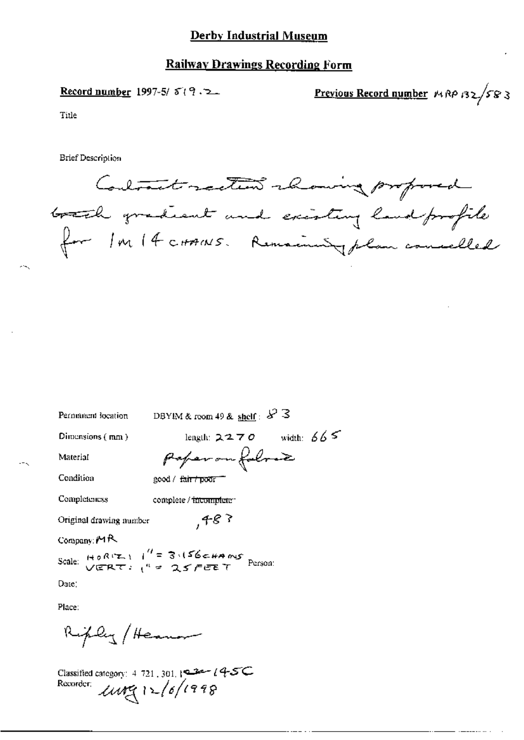#### **Railway Drawings Recording Form**

Record number 1997-5/ $5(9.2$ 

Previous Record number MAP BZ/583

Title

**Brief Description** 

Contract rection recoving proposed brack gradient and existing land profile for In 14 corrects. Remaining plan concelled

Permanent location

DBYIM & room 49 & shelf:  $\&$  3

poper on follow

 $,483$ 

Dimensions (mm)

length:  $2270$  width:  $665$ 

Material

Condition

good / fair / poor =

Completeness complete / incomplete-

Original drawing number

Company  $M R$ 

Scale: HORIZI 1" = 3.156 CHAMS Person:

Date:

Place:

Riply / Heaven

Classified category: 4-721-301, 122-14-5C Recorder:  $unq12/6/1998$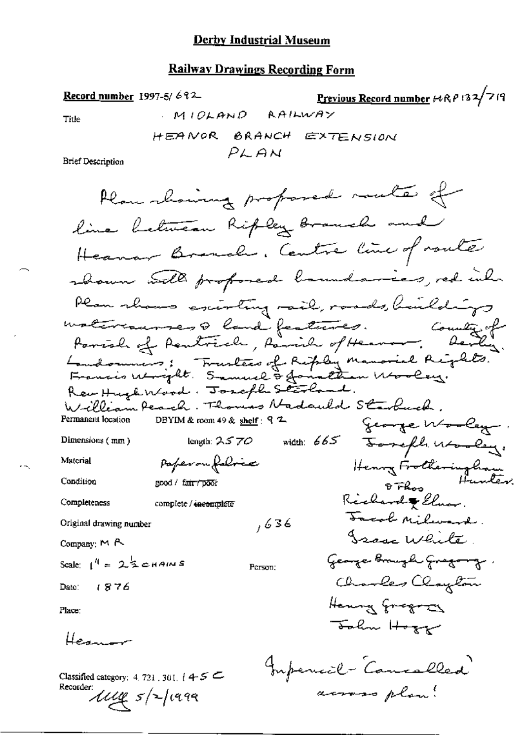#### **Railway Drawings Recording Form**

Previous Record number  $F(RP/32/7/9)$ Record number 1997-5/692 MIOLAND AAILWAY Title HEANOR BRANCH EXTENSION PLAN **Brief Description** Plan chairing proposed racte of line between Ripley Branch and Heaven Brench, Centre line of route shown will professed baundaries, red inh Plan shows excenting rail, roads, buildings materiaunas a land features. Country of Country of Landonnis; Trustees of Riply Manarial Rights. Revettugh Wood. Joseph Starland. William Peach. Thomas Nadauld Starbuck. Permanent location DBYIM & room 49 & shelf: 9 2 George Wooley. width: 665 Forefle utaley. Dimensions (mm) length:  $2570$ Henry Frotheringham Paperon folice Material Condition <sup>& Fh</sup>os<sup>H</sup><br>Richard & *Cluer*. good / fa<del>ir / poo</del>r Completeness complete / incomplete Facol Milward.  $,636$ Original drawing number Issue White. Company; M A George Brugh Gregory. Scale:  $1^4$  = 2  $\frac{1}{2}$  chains Person: Charles Clayton Date: 1876 Henry Gregory Place: John Hogy Herman Imperial - Cancalled Classified category: 4, 721, 301,  $4 + 5 =$ Recorder: across plan!  $\mathcal{U}\mathcal{U} \mathfrak{g}$  s/2/1999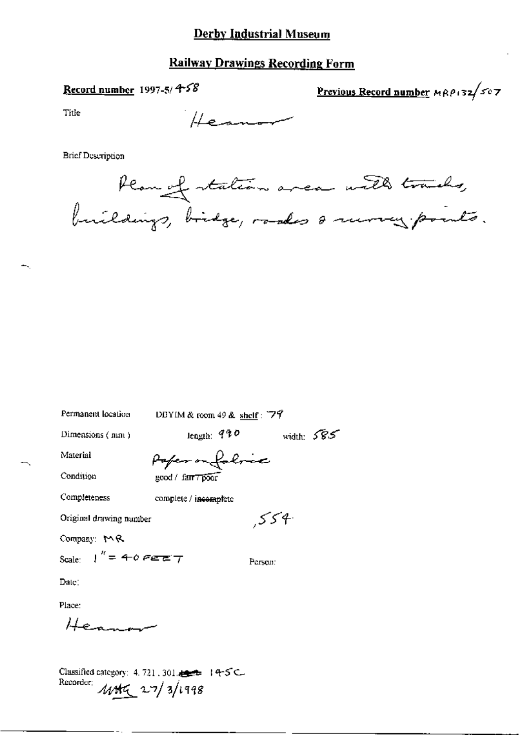## **Railway Drawings Recording Form**

### Record number 1997-5/ $458$

Previous Record number MRP132/507

Title

Heaven

**Brief Description** 



| Permanent location      | DBYIM & room 49 & shelf: $79$ |              |
|-------------------------|-------------------------------|--------------|
| Dimensions (mm)         | length: $990$                 | width: $585$ |
| Material                | Poper on foloce               |              |
| Condition               | good / farr poor              |              |
| Completeness            | complete / incomplete         |              |
| Original drawing number |                               | .554         |
| Company: $M$ R          |                               |              |
| Scale: $1'' = 40$ Ferry |                               | Person:      |
| Date:                   |                               |              |

Place:

 $He_{\pm}$ 

Classified category: 4, 721, 301, and 14-5 C. Recorder 1145 27/3/1998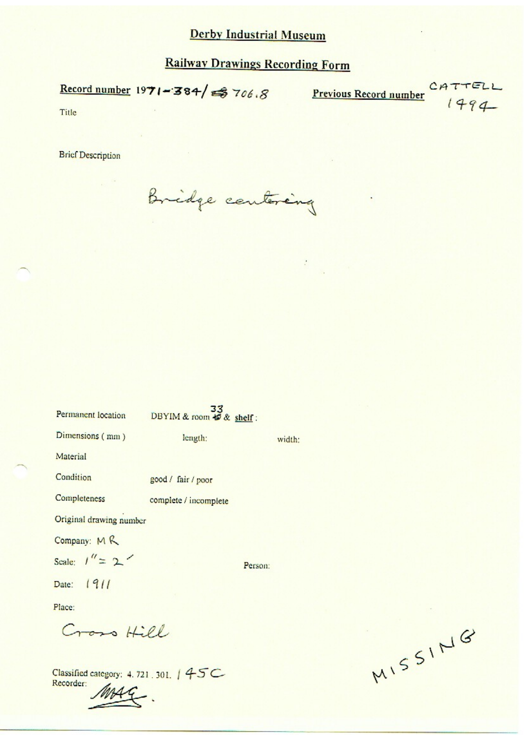Record number  $1971 - 384$   $\approx 706.8$  Previous Record number

 $C14$ 1494

Title

**Brief Description** 

Bridge centering

| Permanent location                                 | DBYIM & room $\frac{33}{60}$ shelf: |         |
|----------------------------------------------------|-------------------------------------|---------|
| Dimensions (mm)                                    | length:                             | width:  |
| Material                                           |                                     |         |
| Condition                                          | good / fair / poor                  |         |
| Completeness                                       | complete / incomplete               |         |
| Original drawing number                            |                                     |         |
| Company: MR                                        |                                     |         |
| Scale: $1'' = 2'$                                  |                                     | Person: |
| Date: 1911                                         |                                     |         |
| Place:                                             |                                     |         |
| Cross Hill                                         |                                     |         |
| Classified category: 4.721.301.   45C<br>Recorder: |                                     |         |

MISSING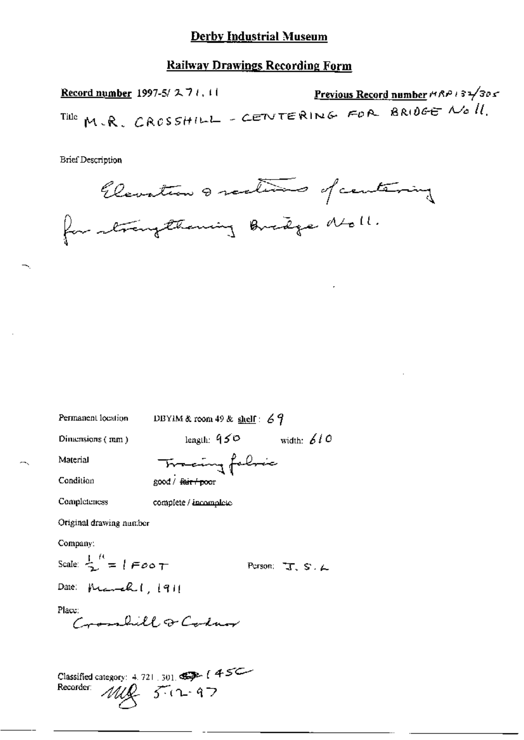#### **Railway Drawings Recording Form**

Previous Record number # RP 1 32/305 Record number 1997-5/271.11 Title M.R. CROSSHILL - CENTERING FOR BRIDGE NO 11.

**Brief Description** 



Permanent location

DBYIM & room 49 & shelf:  $69$ 

Dimensions (mm)

length:  $950$  width: 610

Material Condition

Tracing folice good / fair froor

Completeness

complete / incomplete

Original drawing number

Company:

Scale:  $\frac{1}{2}$  =  $1$  F o o T

Person:  $T_s S. L$ 

Date:  $M = k \cdot |q|$ 

Place:

mondill a Coder

Classified category: 4, 721, 301, 45C Recorder:  $MIR$   $50 - 97$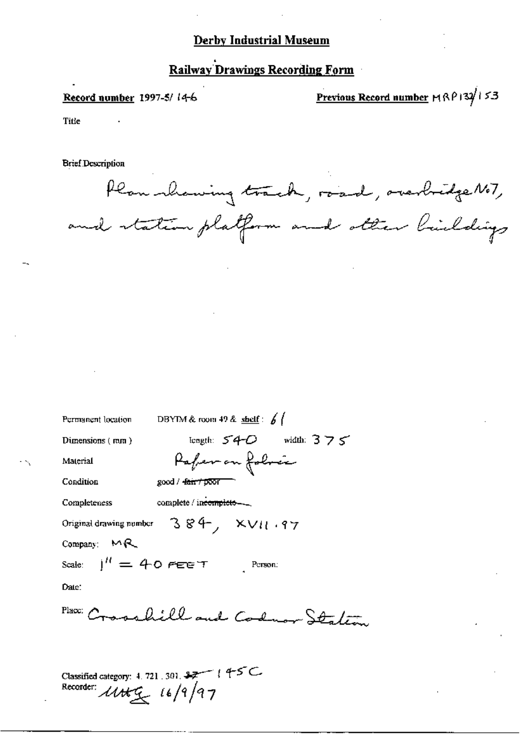# **Railway Drawings Recording Form**

#### Record number 1997-5/14-6

Previous Record number MRP132/153

Title

**Brief Description** 

Plan showing track, road, overbridge NoT, and station platform and other buildings

DBYIM & room 49 & shelf :  $\frac{1}{2}$ Permanent location tength:  $54-0$  width:  $375$ Dimensions (rom) Paper on folocie Material Condition  $good / 4~~air / p~~oor$ complete / incomplete-Completeness  $384, xv11.97$ Original drawing number Company:  $M_{\text{R}}$  $1'' = 40$  FEET Person: Scale: Date: Place: Crosshill and Codman States Classified category: 4, 721, 301, 37 (45C) Recorder: *Utt*<sub>g</sub> 16/9/97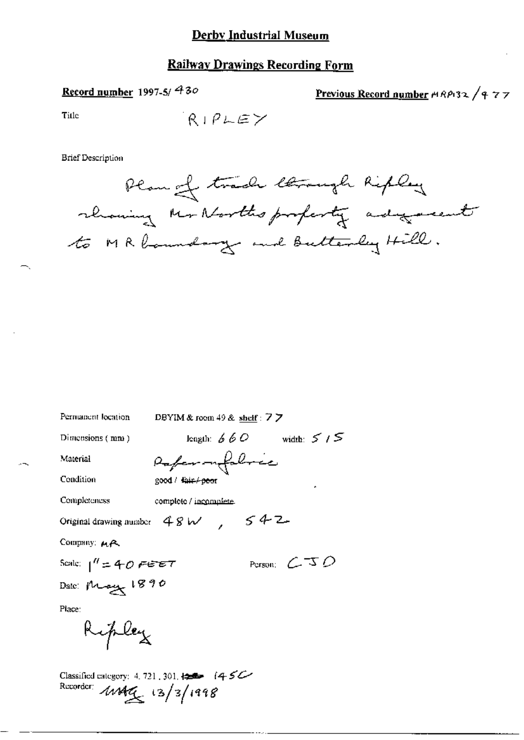# **Railway Drawings Recording Form**

# Record number 1997-5/430

Previous Record number HRP132 / 977

Title

$$
\mathsf{R1PLEY}
$$

**Brief Description** 

 $\leq$ 

| Permanent location     | DBYIM & room $49$ & shelf : $7$ $\overline{7}$           |                 |
|------------------------|----------------------------------------------------------|-----------------|
| Distensions (mm)       | length: $660$ width: $5/5$                               |                 |
| Material               | Papermilabrée                                            |                 |
| Condition              | good / tair / poor                                       |                 |
| Completeness           | complete / incomplete.                                   |                 |
|                        | Original drawing number $98 \text{ W}$ , $592 \text{ W}$ |                 |
| Company: MA            |                                                          |                 |
| Scale: $1'' = 40$ FEET |                                                          | Person: $C = D$ |
| Date: May 1890         |                                                          |                 |
| Place:                 |                                                          |                 |
| Ripley                 |                                                          |                 |

Classified category: 4.721.301. 12 (450)<br>Recorder:  $\angle 44\frac{3}{2}$  (3/3/1998)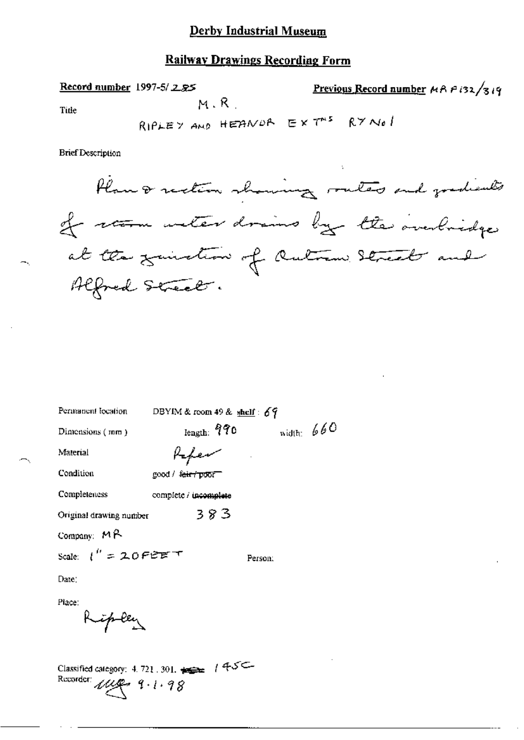#### **Railway Drawings Recording Form**

 $M, R$ 

Record number 1997-5/285

Previous Record number  $A A P$  (32/319)

**Title** 

RIPLEY AND HEANDA EXT<sup>AS</sup> RYNOL

**Brief Description** 



| Permanent location                                                                             | DBYIM & room 49 & shelf: $69$   |            |
|------------------------------------------------------------------------------------------------|---------------------------------|------------|
| Dimensions (mm)                                                                                | length: $970$                   | width: 660 |
| Material                                                                                       | Kapev                           |            |
| Condition                                                                                      | good / <del>fair / poor -</del> |            |
| Completeness                                                                                   | complete / incomplete           |            |
| Original drawing number                                                                        | 383                             |            |
| Company: $M2$                                                                                  |                                 |            |
| Scale: $l'' = 20$ Ferst T                                                                      |                                 | Person:    |
| Date:                                                                                          |                                 |            |
| Place:                                                                                         |                                 |            |
| Ripley                                                                                         |                                 |            |
|                                                                                                |                                 |            |
| Classified category: $4.721.301.$ $\Longleftrightarrow$ $1.45C -$<br>Recorder: $\mu\mu$ 9.1.98 |                                 |            |
|                                                                                                |                                 |            |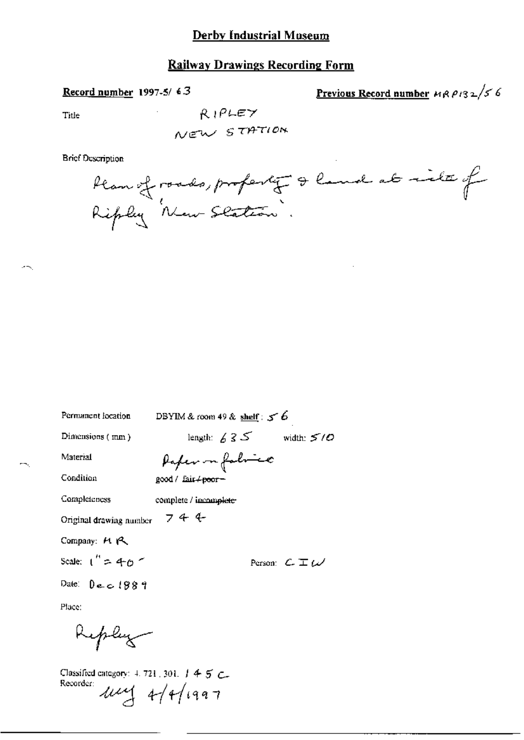### **Railway Drawings Recording Form**

#### Record number 1997-5/63

Previous Record number  $\mu$ RP132/56

Title

 $RIPLEY$ NEW STATION

**Brief Description** 

Plan of roads, profesty & land at its of

| Permanent location       | DBYIM & room 49 & shelf: $56$ |                               |
|--------------------------|-------------------------------|-------------------------------|
| Dimensions (mm)          | length: $635$                 | width: $5/0$                  |
| Material                 | Paper in fabrico              |                               |
| Condition                | good / fair + poor -          |                               |
| Completeness             | complete / incomplete-        |                               |
| Original drawing number  | 744                           |                               |
| Company: $H \uparrow$    |                               |                               |
| Scale: $1'' = 40$ $\sim$ |                               | Person: $C \mathbb{T} \omega$ |
| Date: Dece1889           |                               |                               |
| Place:                   |                               |                               |
| Keplug                   |                               |                               |

Classified category: 4, 721, 301, 1 4 5 C. Recorder  $\mu\mu$  4/4/1997

жm,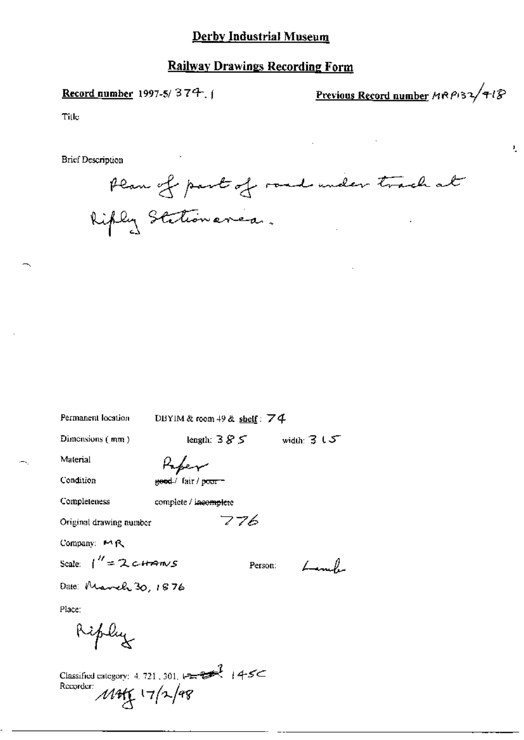## Record number 1997-5/374, (

Previous Record number  $MRPS2/7l$ 

 $\mathbf{L}$ 

Title

**Brief Description** 

Plan of part of road under track at Kiply Stationanca.

Permanent location

DBYIM & room 49 & shelf: 74

776

Person:

 $\mathcal{L}$ 

Dimensions (mm)

length:  $385$  width:  $315$ 

Material

Paper geed / fair / poorn

Condition

Completeness

complete / incomplete

Original drawing number

Company: MR

Scale:  $1'' = 2 \text{ terms}$ 

Date: March 30, 1876

Place:

Ripley

Classified category: 4.721, 301,  $12\pi$ <br>Recorder:<br>  $\mathcal{M}$ H $\left(\frac{17}{2}\sqrt{48}\right)$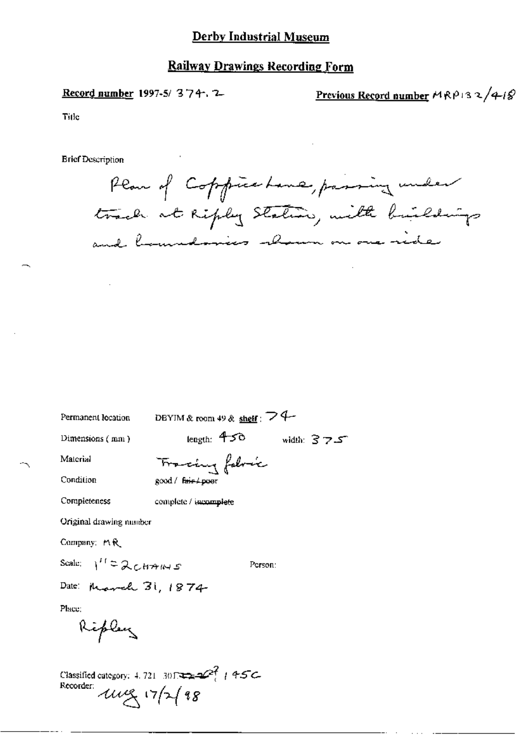Record number 1997-5/374.7

Previous Record number  $MRP13 \sqrt{q-1}$ 

Title

**Brief Description** 

Plan of Coppieshave, passing under track at Ripley Station, with buildings and bemedenies shown on one ride

Permanent location

DEYIM & room 49 & shelf:  $\geq 4$ 

Dimensions (mm)

length:  $450$  width:  $375$ 

Material Condition

Tracing follows good / fair / poer

Completeness

complete / incomplete

Original drawing number

Company: MR

Scale:  $1^{\prime\prime}$  = 2  $cmus$ 

Person:

Date: Progreh 31, 1874

Place:

Ripley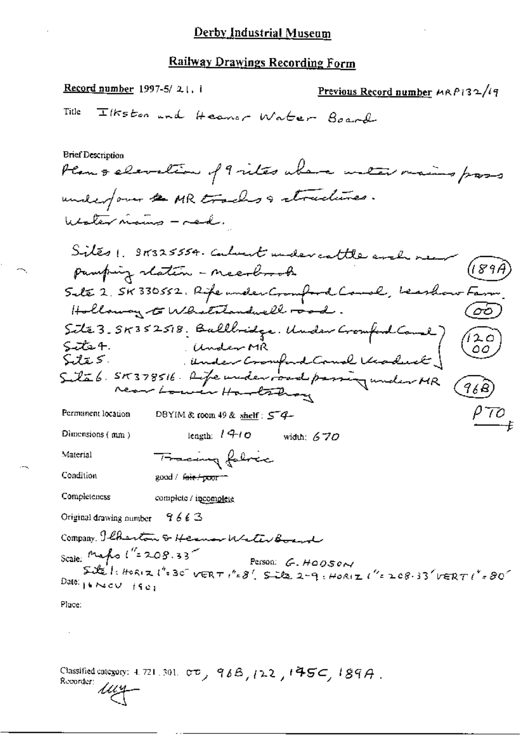Record number  $1997-5/2$ , i Previous Record number  $MRP$ 132/19 Ilkston and Heaver Water Board Title **Brief Description** Plan & elevation of 9 vites above unter mains pass underfour & MR tracks & structures. Walter names - mad. Sites 1. 91325554. Calvert under cattle and pamping staten - neesbook Sete 2. SK 330552. Rife under Cromford Court, beashow Fan ক্তি Holloway to Whatstandwell road. Site 3.55352518. Ballbridge. Under Cromford Come) (120<br>Site 4. Under MR<br>Site 5. Under Cromford Comel Keoduck) (120<br>Site 6. 515378516. Life under road passing under MR (968) 420 P70 Permanent location DBYIM & room 49 & shelf : 54-Dimensions (mm) length:  $140$  width: 6.70 Material Fracing folice Condition good / fair/poor = Completeness complete / incomplete Original drawing number  $9663$ Company. Ilberton & Hermon Water Board Scale: Maps  $1'' = 208.33$  Person: G. HODSON  $SDE'$ : HORIZ ("=30" VERT ("=8', Site 2-9: HORIZ ("=208.33" VERT ("=80" Date:  $16$  Necv  $1901$ Place:

Classified category: 4, 721, 301,  $\sigma\sigma_{y}$ , 96B, 122, 145C, 189A. Recorder: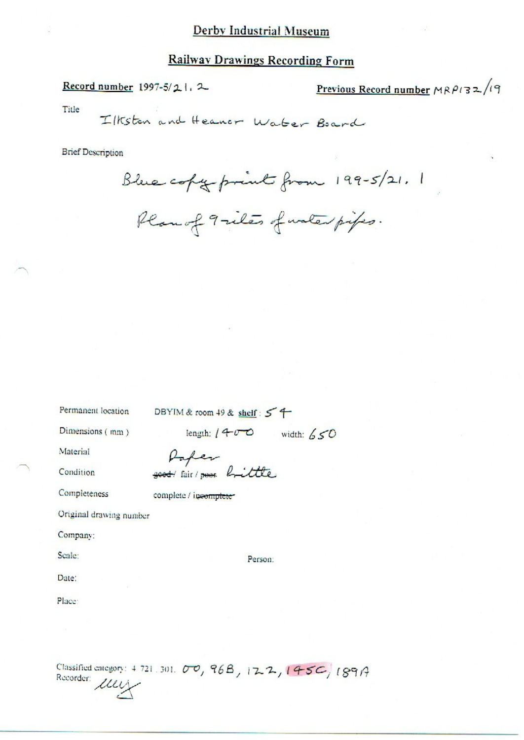#### **Railway Drawings Recording Form**

Record number 1997-5/21, 2

Previous Record number  $MRPI32/19$ 

Title

Ilkston and Heanor Water Board

**Brief Description** 

Blue copy print from 199-5/21, 1

Plan of 9-iles funter pipes.

Permanent location

DBYIM & room 49 & shelf: 54

Dimensions (mm)

length:  $(400 \text{ width: } 650$ 

Material

Condition

Completeness

Paper good air poor brittle

complete / incomplete

Original drawing number

Company:

Scale:

Date:

Person:

Place:

Classified category: 4 721.301. 00, 96B, 122, 145C, 189A Recorder Luy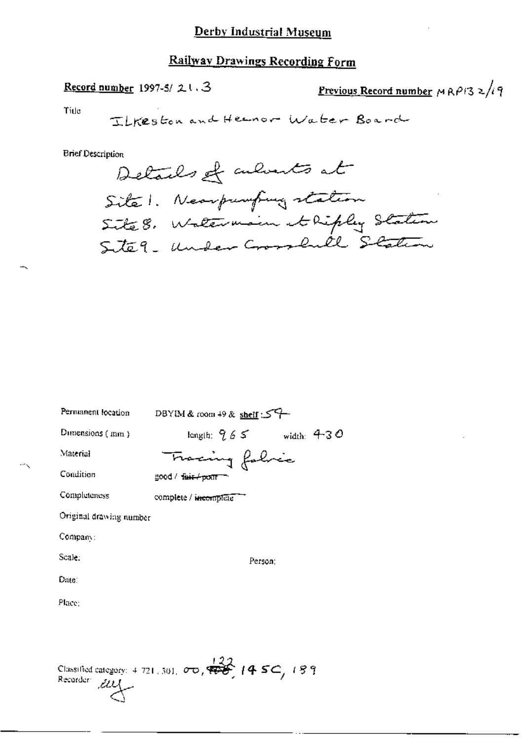# Railway Drawings Recording Form

# Record number 1997-5/21.3

<u>Previous Record number</u>  $MRP/32/19$ 

Title

**Brief Description** 

| Permanent location                                                                                                        | DBYIM & room 49 & shelf: 54     |  |
|---------------------------------------------------------------------------------------------------------------------------|---------------------------------|--|
| Dimensions (mm)                                                                                                           | length: $9.6\,$ S<br>width: 430 |  |
| Material                                                                                                                  | Fracing falvic                  |  |
| Condition                                                                                                                 | good / fair / point             |  |
| Completeness                                                                                                              | complete / incomplete           |  |
| Original drawing number                                                                                                   |                                 |  |
| Company:                                                                                                                  |                                 |  |
| Scale:                                                                                                                    | Person:                         |  |
| Date:                                                                                                                     |                                 |  |
| Place:                                                                                                                    |                                 |  |
|                                                                                                                           |                                 |  |
| Classified category: 4.721, 301, $\sigma$ $\sigma$ , $\overleftrightarrow{\phi}$ (4.5C, 189<br>Recorder:<br>$\mathcal{L}$ |                                 |  |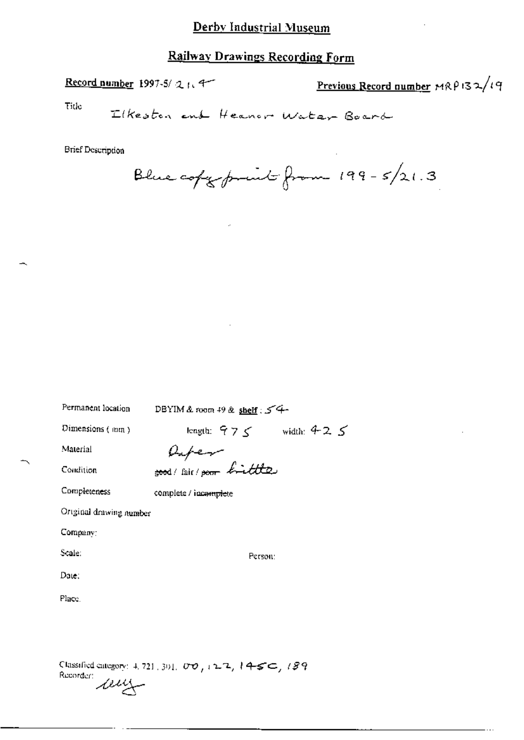# Railway Drawings Recording Form

Record number 1997-5/21.4

Previous Record number  $MRPI32/19$ 

Title

Elkeston end Heaver Water Board

**Brief Description** 

Blue copy point from  $199-5/21.3$ 

| Permanent location      | DBYIM & room 49 & shelf : $54$ |
|-------------------------|--------------------------------|
| Dimensions (mm)         | length: $975$ width: $925$     |
| Material                |                                |
| Condition               | Refer                          |
| Completeness            | complete / incomplete          |
| Original drawing number |                                |
| Company:                |                                |
| Scale:                  | Person:                        |
| Date:                   |                                |
| Place.                  |                                |
|                         |                                |
|                         |                                |
|                         |                                |

Classified category: 4, 721, 301, 00, 12-2, 14-5⊂, 189 Recorder:<br>Recorder: